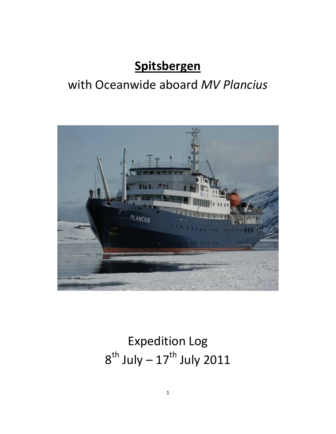## **Spitsbergen**

### with Oceanwide aboard *MV Plancius*



# Expedition Log  $8^{th}$  July –  $17^{th}$  July 2011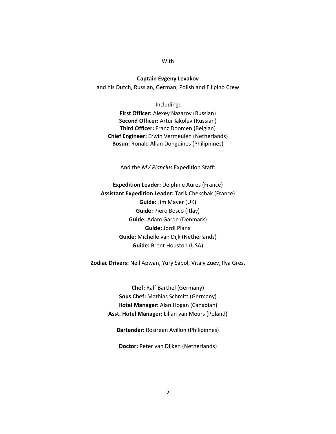#### **With**

**Captain Evgeny Levakov** and his Dutch, Russian, German, Polish and Filipino Crew

Including: **First Officer:** Alexey Nazarov (Russian) **Second Officer:** Artur Iakolev (Russian) **Third Officer:** Franz Doomen (Belgian) **Chief Engineer:** Erwin Vermeulen (Netherlands) **Bosun:** Ronald Allan Donguines (Philipinnes)

And the *MV Plancius* Expedition Staff:

**Expedition Leader:** Delphine Aures (France) **Assistant Expedition Leader:** Tarik Chekchak (France) **Guide:** Jim Mayer (UK) **Guide:** Piero Bosco (Itlay) **Guide:** Adam Garde (Denmark) **Guide:** Jordi Plana **Guide:** Michelle van Dijk (Netherlands) **Guide:** Brent Houston (USA)

**Zodiac Drivers:** Neil Apwan, Yury Sabol, Vitaly Zuev, Ilya Gres.

**Chef:** Ralf Barthel (Germany) **Sous Chef:** Mathias Schmitt (Germany) **Hotel Manager:** Alan Hogan (Canadian) **Asst. Hotel Manager:** Lilian van Meurs (Poland)

**Bartender:** Rosireen Avillon (Philipinnes)

**Doctor:** Peter van Dijken (Netherlands)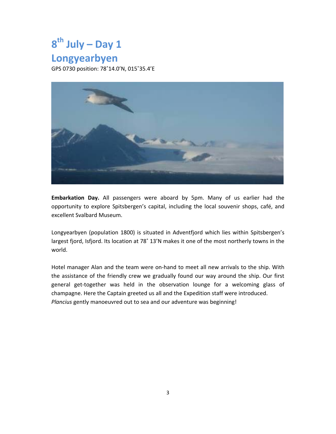## **8th July – Day 1**

### **Longyearbyen**

GPS 0730 position: 78˚14.0'N, 015˚35.4'E



**Embarkation Day.** All passengers were aboard by 5pm. Many of us earlier had the opportunity to explore Spitsbergen's capital, including the local souvenir shops, café, and excellent Svalbard Museum.

Longyearbyen (population 1800) is situated in Adventfjord which lies within Spitsbergen's largest fjord, Isfjord. Its location at 78˚ 13'N makes it one of the most northerly towns in the world.

Hotel manager Alan and the team were on-hand to meet all new arrivals to the ship. With the assistance of the friendly crew we gradually found our way around the ship. Our first general get-together was held in the observation lounge for a welcoming glass of champagne. Here the Captain greeted us all and the Expedition staff were introduced. *Plancius* gently manoeuvred out to sea and our adventure was beginning!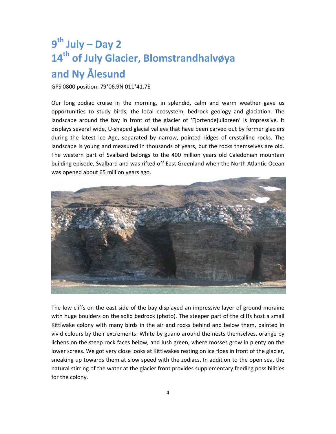### **9th July – Day 2 14th of July Glacier, Blomstrandhalvøya and Ny Ålesund**

#### GPS 0800 position: 79°06.9N 011°41.7E

Our long zodiac cruise in the morning, in splendid, calm and warm weather gave us opportunities to study birds, the local ecosystem, bedrock geology and glaciation. The landscape around the bay in front of the glacier of 'Fjortendejulibreen' is impressive. It displays several wide, U‐shaped glacial valleys that have been carved out by former glaciers during the latest Ice Age, separated by narrow, pointed ridges of crystalline rocks. The landscape is young and measured in thousands of years, but the rocks themselves are old. The western part of Svalbard belongs to the 400 million years old Caledonian mountain building episode, Svalbard and was rifted off East Greenland when the North Atlantic Ocean was opened about 65 million years ago.



The low cliffs on the east side of the bay displayed an impressive layer of ground moraine with huge boulders on the solid bedrock (photo). The steeper part of the cliffs host a small Kittiwake colony with many birds in the air and rocks behind and below them, painted in vivid colours by their excrements: White by guano around the nests themselves, orange by lichens on the steep rock faces below, and lush green, where mosses grow in plenty on the lower screes. We got very close looks at Kittiwakes resting on ice floes in front of the glacier, sneaking up towards them at slow speed with the zodiacs. In addition to the open sea, the natural stirring of the water at the glacier front provides supplementary feeding possibilities for the colony.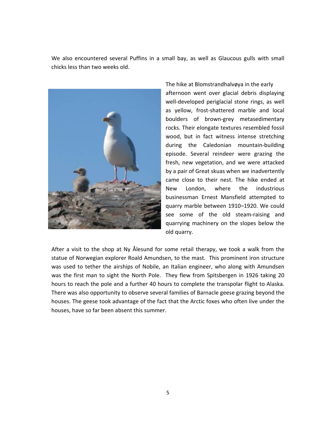We also encountered several Puffins in a small bay, as well as Glaucous gulls with small chicks less than two weeks old.



The hike at Blomstrandhalvøya in the early afternoon went over glacial debris displaying well-developed periglacial stone rings, as well as yellow, frost‐shattered marble and local boulders of brown‐grey metasedimentary rocks. Their elongate textures resembled fossil wood, but in fact witness intense stretching during the Caledonian mountain‐building episode. Several reindeer were grazing the fresh, new vegetation, and we were attacked by a pair of Great skuas when we inadvertently came close to their nest. The hike ended at New London, where the industrious businessman Ernest Mansfield attempted to quarry marble between 1910–1920. We could see some of the old steam-raising and quarrying machinery on the slopes below the old quarry.

After a visit to the shop at Ny Ålesund for some retail therapy, we took a walk from the statue of Norwegian explorer Roald Amundsen, to the mast. This prominent iron structure was used to tether the airships of Nobile, an Italian engineer, who along with Amundsen was the first man to sight the North Pole. They flew from Spitsbergen in 1926 taking 20 hours to reach the pole and a further 40 hours to complete the transpolar flight to Alaska. There was also opportunity to observe several families of Barnacle geese grazing beyond the houses. The geese took advantage of the fact that the Arctic foxes who often live under the houses, have so far been absent this summer.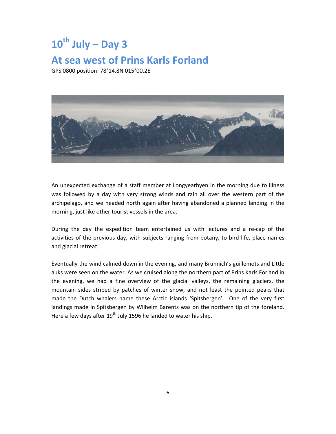### $10^{th}$  **July** – Day 3

#### **At sea west of Prins Karls Forland**

GPS 0800 position: 78°14.8N 015°00.2E



An unexpected exchange of a staff member at Longyearbyen in the morning due to illness was followed by a day with very strong winds and rain all over the western part of the archipelago, and we headed north again after having abandoned a planned landing in the morning, just like other tourist vessels in the area.

During the day the expedition team entertained us with lectures and a re‐cap of the activities of the previous day, with subjects ranging from botany, to bird life, place names and glacial retreat.

Eventually the wind calmed down in the evening, and many Brünnich's guillemots and Little auks were seen on the water. As we cruised along the northern part of Prins Karls Forland in the evening, we had a fine overview of the glacial valleys, the remaining glaciers, the mountain sides striped by patches of winter snow, and not least the pointed peaks that made the Dutch whalers name these Arctic islands 'Spitsbergen'. One of the very first landings made in Spitsbergen by Wilhelm Barents was on the northern tip of the foreland. Here a few days after 19<sup>th</sup> July 1596 he landed to water his ship.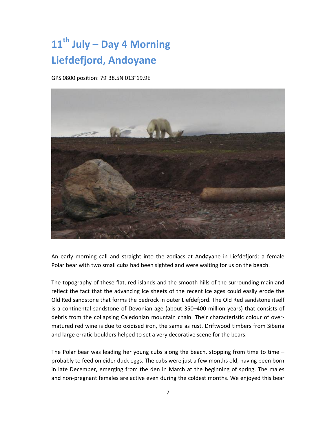### **11th July – Day 4 Morning Liefdefjord, Andoyane**

GPS 0800 position: 79°38.5N 013°19.9E



An early morning call and straight into the zodiacs at Andøyane in Liefdefjord: a female Polar bear with two small cubs had been sighted and were waiting for us on the beach.

The topography of these flat, red islands and the smooth hills of the surrounding mainland reflect the fact that the advancing ice sheets of the recent ice ages could easily erode the Old Red sandstone that forms the bedrock in outer Liefdefjord. The Old Red sandstone itself is a continental sandstone of Devonian age (about 350–400 million years) that consists of debris from the collapsing Caledonian mountain chain. Their characteristic colour of over‐ matured red wine is due to oxidised iron, the same as rust. Driftwood timbers from Siberia and large erratic boulders helped to set a very decorative scene for the bears.

The Polar bear was leading her young cubs along the beach, stopping from time to time – probably to feed on eider duck eggs. The cubs were just a few months old, having been born in late December, emerging from the den in March at the beginning of spring. The males and non‐pregnant females are active even during the coldest months. We enjoyed this bear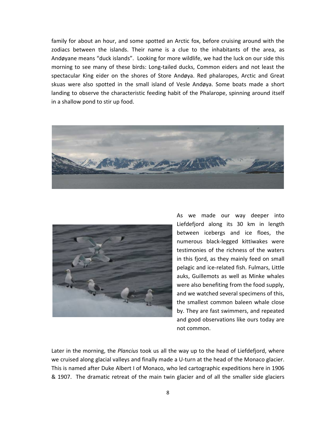family for about an hour, and some spotted an Arctic fox, before cruising around with the zodiacs between the islands. Their name is a clue to the inhabitants of the area, as Andøyane means "duck islands". Looking for more wildlife, we had the luck on our side this morning to see many of these birds: Long-tailed ducks, Common eiders and not least the spectacular King eider on the shores of Store Andøya. Red phalaropes, Arctic and Great skuas were also spotted in the small island of Vesle Andøya. Some boats made a short landing to observe the characteristic feeding habit of the Phalarope, spinning around itself in a shallow pond to stir up food.





As we made our way deeper into Liefdefjord along its 30 km in length between icebergs and ice floes, the numerous black‐legged kittiwakes were testimonies of the richness of the waters in this fjord, as they mainly feed on small pelagic and ice‐related fish. Fulmars, Little auks, Guillemots as well as Minke whales were also benefiting from the food supply, and we watched several specimens of this, the smallest common baleen whale close by. They are fast swimmers, and repeated and good observations like ours today are not common.

Later in the morning, the *Plancius* took us all the way up to the head of Liefdefjord, where we cruised along glacial valleys and finally made a U-turn at the head of the Monaco glacier. This is named after Duke Albert I of Monaco, who led cartographic expeditions here in 1906 & 1907. The dramatic retreat of the main twin glacier and of all the smaller side glaciers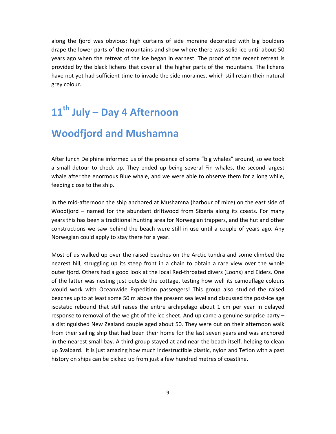along the fjord was obvious: high curtains of side moraine decorated with big boulders drape the lower parts of the mountains and show where there was solid ice until about 50 years ago when the retreat of the ice began in earnest. The proof of the recent retreat is provided by the black lichens that cover all the higher parts of the mountains. The lichens have not yet had sufficient time to invade the side moraines, which still retain their natural grey colour.

### **11th July – Day 4 Afternoon**

### **Woodfjord and Mushamna**

After lunch Delphine informed us of the presence of some "big whales" around, so we took a small detour to check up. They ended up being several Fin whales, the second‐largest whale after the enormous Blue whale, and we were able to observe them for a long while, feeding close to the ship.

In the mid‐afternoon the ship anchored at Mushamna (harbour of mice) on the east side of Woodfjord – named for the abundant driftwood from Siberia along its coasts. For many years this has been a traditional hunting area for Norwegian trappers, and the hut and other constructions we saw behind the beach were still in use until a couple of years ago. Any Norwegian could apply to stay there for a year.

Most of us walked up over the raised beaches on the Arctic tundra and some climbed the nearest hill, struggling up its steep front in a chain to obtain a rare view over the whole outer fjord. Others had a good look at the local Red‐throated divers (Loons) and Eiders. One of the latter was nesting just outside the cottage, testing how well its camouflage colours would work with Oceanwide Expedition passengers! This group also studied the raised beaches up to at least some 50 m above the present sea level and discussed the post-ice age isostatic rebound that still raises the entire archipelago about 1 cm per year in delayed response to removal of the weight of the ice sheet. And up came a genuine surprise party – a distinguished New Zealand couple aged about 50. They were out on their afternoon walk from their sailing ship that had been their home for the last seven years and was anchored in the nearest small bay. A third group stayed at and near the beach itself, helping to clean up Svalbard. It is just amazing how much indestructible plastic, nylon and Teflon with a past history on ships can be picked up from just a few hundred metres of coastline.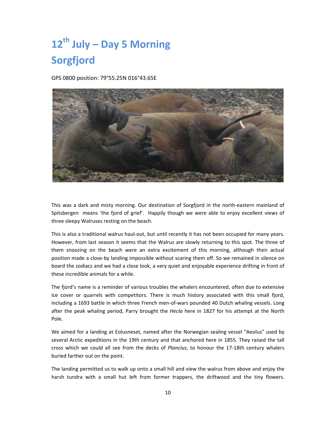### **12th July – Day 5 Morning Sorgfjord**

GPS 0800 position: 79°55.25N 016°43.65E



This was a dark and misty morning. Our destination of Sorgfjord in the north‐eastern mainland of Spitsbergen means 'the fjord of grief'. Happily though we were able to enjoy excellent views of three sleepy Walruses resting on the beach.

This is also a traditional walrus haul‐out, but until recently it has not been occupied for many years. However, from last season it seems that the Walrus are slowly returning to this spot. The three of them snoozing on the beach were an extra excitement of this morning, although their actual position made a close-by landing impossible without scaring them off. So we remained in silence on board the zodiacs and we had a close look, a very quiet and enjoyable experience drifting in front of these incredible animals for a while.

The fjord's name is a reminder of various troubles the whalers encountered, often due to extensive ice cover or quarrels with competitors. There is much history associated with this small fjord, including a 1693 battle in which three French men‐of‐wars pounded 40 Dutch whaling vessels. Long after the peak whaling period, Parry brought the *Hecla* here in 1827 for his attempt at the North Pole.

We aimed for a landing at Eolusneset, named after the Norwegian sealing vessel "Aeolus" used by several Arctic expeditions in the 19th century and that anchored here in 1855. They raised the tall cross which we could all see from the decks of *Plancius*, to honour the 17‐18th century whalers buried farther out on the point.

The landing permitted us to walk up onto a small hill and view the walrus from above and enjoy the harsh tundra with a small hut left from former trappers, the driftwood and the tiny flowers.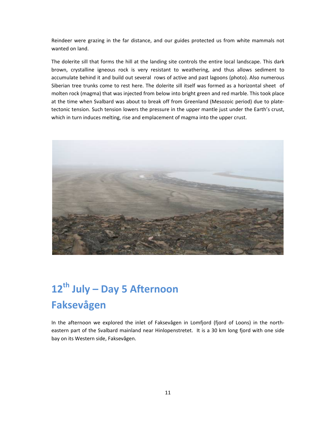Reindeer were grazing in the far distance, and our guides protected us from white mammals not wanted on land.

The dolerite sill that forms the hill at the landing site controls the entire local landscape. This dark brown, crystalline igneous rock is very resistant to weathering, and thus allows sediment to accumulate behind it and build out several rows of active and past lagoons (photo). Also numerous Siberian tree trunks come to rest here. The dolerite sill itself was formed as a horizontal sheet of molten rock (magma) that was injected from below into bright green and red marble. This took place at the time when Svalbard was about to break off from Greenland (Mesozoic period) due to plate‐ tectonic tension. Such tension lowers the pressure in the upper mantle just under the Earth's crust, which in turn induces melting, rise and emplacement of magma into the upper crust.



### **12th July – Day 5 Afternoon Faksevågen**

In the afternoon we explored the inlet of Faksevågen in Lomfjord (fjord of Loons) in the north‐ eastern part of the Svalbard mainland near Hinlopenstretet. It is a 30 km long fjord with one side bay on its Western side, Faksevågen.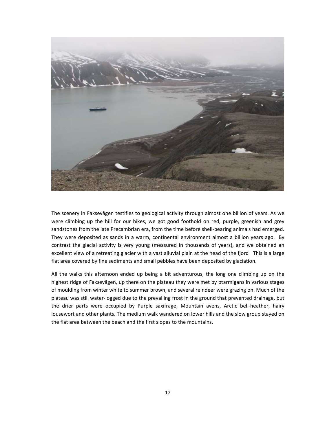

The scenery in Faksevågen testifies to geological activity through almost one billion of years. As we were climbing up the hill for our hikes, we got good foothold on red, purple, greenish and grey sandstones from the late Precambrian era, from the time before shell-bearing animals had emerged. They were deposited as sands in a warm, continental environment almost a billion years ago. By contrast the glacial activity is very young (measured in thousands of years), and we obtained an excellent view of a retreating glacier with a vast alluvial plain at the head of the fjord This is a large flat area covered by fine sediments and small pebbles have been deposited by glaciation.

All the walks this afternoon ended up being a bit adventurous, the long one climbing up on the highest ridge of Faksevågen, up there on the plateau they were met by ptarmigans in various stages of moulding from winter white to summer brown, and several reindeer were grazing on. Much of the plateau was still water‐logged due to the prevailing frost in the ground that prevented drainage, but the drier parts were occupied by Purple saxifrage, Mountain avens, Arctic bell-heather, hairy lousewort and other plants. The medium walk wandered on lower hills and the slow group stayed on the flat area between the beach and the first slopes to the mountains.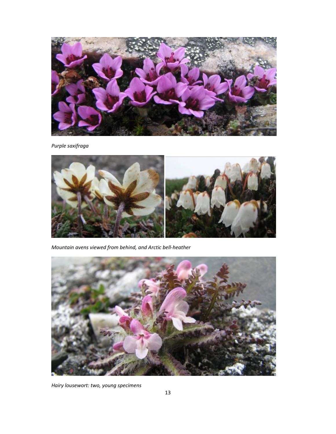

*Purple saxifraga*



*Mountain avens viewed from behind, and Arctic bell‐heather* 



*Hairy lousewort: two, young specimens*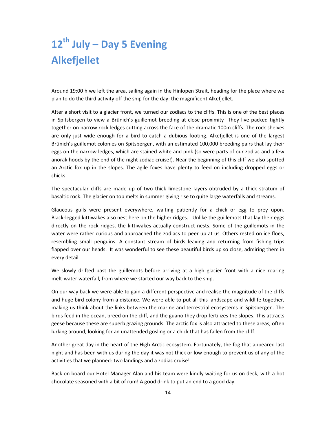## **12th July – Day 5 Evening Alkefjellet**

Around 19:00 h we left the area, sailing again in the Hinlopen Strait, heading for the place where we plan to do the third activity off the ship for the day: the magnificent Alkefjellet.

After a short visit to a glacier front, we turned our zodiacs to the cliffs. This is one of the best places in Spitsbergen to view a Brünich's guillemot breeding at close proximity They live packed tightly together on narrow rock ledges cutting across the face of the dramatic 100m cliffs. The rock shelves are only just wide enough for a bird to catch a dubious footing. Alkefjellet is one of the largest Brünich's guillemot colonies on Spitsbergen, with an estimated 100,000 breeding pairs that lay their eggs on the narrow ledges, which are stained white and pink (so were parts of our zodiac and a few anorak hoods by the end of the night zodiac cruise!). Near the beginning of this cliff we also spotted an Arctic fox up in the slopes. The agile foxes have plenty to feed on including dropped eggs or chicks.

The spectacular cliffs are made up of two thick limestone layers obtruded by a thick stratum of basaltic rock. The glacier on top melts in summer giving rise to quite large waterfalls and streams.

Glaucous gulls were present everywhere, waiting patiently for a chick or egg to prey upon. Black-legged kittiwakes also nest here on the higher ridges. Unlike the guillemots that lay their eggs directly on the rock ridges, the kittiwakes actually construct nests. Some of the guillemots in the water were rather curious and approached the zodiacs to peer up at us. Others rested on ice floes, resembling small penguins. A constant stream of birds leaving and returning from fishing trips flapped over our heads. It was wonderful to see these beautiful birds up so close, admiring them in every detail.

We slowly drifted past the guillemots before arriving at a high glacier front with a nice roaring melt‐water waterfall, from where we started our way back to the ship.

On our way back we were able to gain a different perspective and realise the magnitude of the cliffs and huge bird colony from a distance. We were able to put all this landscape and wildlife together, making us think about the links between the marine and terrestrial ecosystems in Spitsbergen. The birds feed in the ocean, breed on the cliff, and the guano they drop fertilizes the slopes. This attracts geese because these are superb grazing grounds. The arctic fox is also attracted to these areas, often lurking around, looking for an unattended gosling or a chick that has fallen from the cliff.

Another great day in the heart of the High Arctic ecosystem. Fortunately, the fog that appeared last night and has been with us during the day it was not thick or low enough to prevent us of any of the activities that we planned: two landings and a zodiac cruise!

Back on board our Hotel Manager Alan and his team were kindly waiting for us on deck, with a hot chocolate seasoned with a bit of rum! A good drink to put an end to a good day.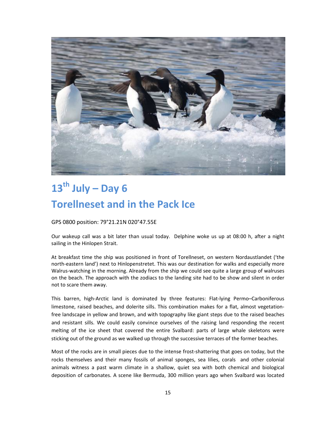

### **13th July – Day 6 Torellneset and in the Pack Ice**

GPS 0800 position: 79°21.21N 020°47.55E

Our wakeup call was a bit later than usual today. Delphine woke us up at 08:00 h, after a night sailing in the Hinlopen Strait.

At breakfast time the ship was positioned in front of Torellneset, on western Nordaustlandet ('the north‐eastern land') next to Hinlopenstretet. This was our destination for walks and especially more Walrus‐watching in the morning. Already from the ship we could see quite a large group of walruses on the beach. The approach with the zodiacs to the landing site had to be show and silent in order not to scare them away.

This barren, high-Arctic land is dominated by three features: Flat-lying Permo-Carboniferous limestone, raised beaches, and dolerite sills. This combination makes for a flat, almost vegetation‐ free landscape in yellow and brown, and with topography like giant steps due to the raised beaches and resistant sills. We could easily convince ourselves of the raising land responding the recent melting of the ice sheet that covered the entire Svalbard: parts of large whale skeletons were sticking out of the ground as we walked up through the successive terraces of the former beaches.

Most of the rocks are in small pieces due to the intense frost‐shattering that goes on today, but the rocks themselves and their many fossils of animal sponges, sea lilies, corals and other colonial animals witness a past warm climate in a shallow, quiet sea with both chemical and biological deposition of carbonates. A scene like Bermuda, 300 million years ago when Svalbard was located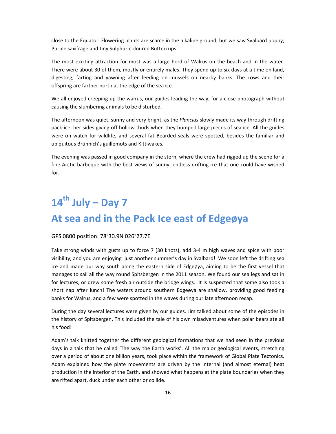close to the Equator. Flowering plants are scarce in the alkaline ground, but we saw Svalbard poppy, Purple saxifrage and tiny Sulphur‐coloured Buttercups.

The most exciting attraction for most was a large herd of Walrus on the beach and in the water. There were about 30 of them, mostly or entirely males. They spend up to six days at a time on land, digesting, farting and yawning after feeding on mussels on nearby banks. The cows and their offspring are farther north at the edge of the sea ice.

We all enjoyed creeping up the walrus, our guides leading the way, for a close photograph without causing the slumbering animals to be disturbed.

The afternoon was quiet, sunny and very bright, as the *Plancius* slowly made its way through drifting pack‐ice, her sides giving off hollow thuds when they bumped large pieces of sea ice. All the guides were on watch for wildlife, and several fat Bearded seals were spotted, besides the familiar and ubiquitous Brünnich's guillemots and Kittiwakes.

The evening was passed in good company in the stern, where the crew had rigged up the scene for a fine Arctic barbeque with the best views of sunny, endless drifting ice that one could have wished for.

### **14th July – Day 7 At sea and in the Pack Ice east of Edgeøya**

#### GPS 0800 position: 78°30.9N 026°27.7E

Take strong winds with gusts up to force 7 (30 knots), add 3‐4 m high waves and spice with poor visibility, and you are enjoying just another summer's day in Svalbard! We soon left the drifting sea ice and made our way south along the eastern side of Edgeøya, aiming to be the first vessel that manages to sail all the way round Spitsbergen in the 2011 season. We found our sea legs and sat in for lectures, or drew some fresh air outside the bridge wings. It is suspected that some also took a short nap after lunch! The waters around southern Edgeøya are shallow, providing good feeding banks for Walrus, and a few were spotted in the waves during our late afternoon recap.

During the day several lectures were given by our guides. Jim talked about some of the episodes in the history of Spitsbergen. This included the tale of his own misadventures when polar bears ate all his food!

Adam's talk knitted together the different geological formations that we had seen in the previous days in a talk that he called 'The way the Earth works'. All the major geological events, stretching over a period of about one billion years, took place within the framework of Global Plate Tectonics. Adam explained how the plate movements are driven by the internal (and almost eternal) heat production in the interior of the Earth, and showed what happens at the plate boundaries when they are rifted apart, duck under each other or collide.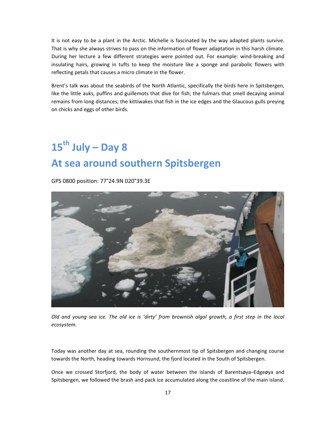It is not easy to be a plant in the Arctic. Michelle is fascinated by the way adapted plants survive. That is why she always strives to pass on the information of flower adaptation in this harsh climate. During her lecture a few different strategies were pointed out. For example: wind‐breaking and insulating hairs, growing in tufts to keep the moisture like a sponge and parabolic flowers with reflecting petals that causes a micro climate in the flower.

Brent's talk was about the seabirds of the North Atlantic, specifically the birds here in Spitsbergen, like the little auks, puffins and guillemots that dive for fish; the fulmars that smell decaying animal remains from long distances; the kittiwakes that fish in the ice edges and the Glaucous gulls preying on chicks and eggs of other birds.

### **15th July – Day 8 At sea around southern Spitsbergen**

GPS 0800 position: 77°24.9N 020°39.3E



Old and young sea ice. The old ice is 'dirty' from brownish algal growth, a first step in the local *ecosystem.*

Today was another day at sea, rounding the southernmost tip of Spitsbergen and changing course towards the North, heading towards Hornsund, the fjord located in the South of Spitsbergen.

Once we crossed Storfjord, the body of water between the islands of Barentsøya–Edgeøya and Spitsbergen, we followed the brash and pack ice accumulated along the coastline of the main island.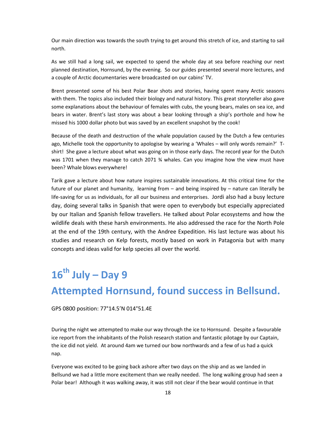Our main direction was towards the south trying to get around this stretch of ice, and starting to sail north.

As we still had a long sail, we expected to spend the whole day at sea before reaching our next planned destination, Hornsund, by the evening. So our guides presented several more lectures, and a couple of Arctic documentaries were broadcasted on our cabins' TV.

Brent presented some of his best Polar Bear shots and stories, having spent many Arctic seasons with them. The topics also included their biology and natural history. This great storyteller also gave some explanations about the behaviour of females with cubs, the young bears, males on sea ice, and bears in water. Brent's last story was about a bear looking through a ship's porthole and how he missed his 1000 dollar photo but was saved by an excellent snapshot by the cook!

Because of the death and destruction of the whale population caused by the Dutch a few centuries ago, Michelle took the opportunity to apologise by wearing a 'Whales – will only words remain?' T‐ shirt! She gave a lecture about what was going on in those early days. The record year for the Dutch was 1701 when they manage to catch 2071 % whales. Can you imagine how the view must have been? Whale blows everywhere!

Tarik gave a lecture about how nature inspires sustainable innovations. At this critical time for the future of our planet and humanity, learning from – and being inspired by – nature can literally be life-saving for us as individuals, for all our business and enterprises. Jordi also had a busy lecture day, doing several talks in Spanish that were open to everybody but especially appreciated by our Italian and Spanish fellow travellers. He talked about Polar ecosystems and how the wildlife deals with these harsh environments. He also addressed the race for the North Pole at the end of the 19th century, with the Andree Expedition. His last lecture was about his studies and research on Kelp forests, mostly based on work in Patagonia but with many concepts and ideas valid for kelp species all over the world.

## **16th July – Day 9 Attempted Hornsund, found success in Bellsund.**

GPS 0800 position: 77°14.5'N 014°51.4E

During the night we attempted to make our way through the ice to Hornsund. Despite a favourable ice report from the inhabitants of the Polish research station and fantastic pilotage by our Captain, the ice did not yield. At around 4am we turned our bow northwards and a few of us had a quick nap.

Everyone was excited to be going back ashore after two days on the ship and as we landed in Bellsund we had a little more excitement than we really needed. The long walking group had seen a Polar bear! Although it was walking away, it was still not clear if the bear would continue in that